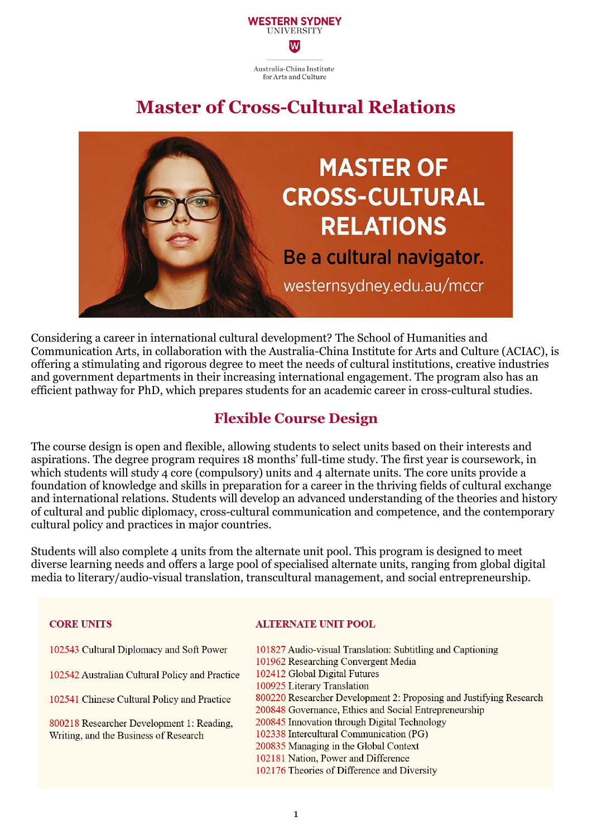

# **Master of Cross-Cultural Relations**



Considering a career in international cultural development? The School of Humanities and Communication Arts, in collaboration with the Australia-China Institute for Arts and Culture (ACIAC), is offering a stimulating and rigorous degree to meet the needs of cultural institutions, creative industries and government departments in their increasing international engagement. The program also has an efficient pathway for PhD, which prepares students for an academic career in cross-cultural studies.

### **Flexible Course Design**

The course design is open and flexible, allowing students to select units based on their interests and aspirations. The degree program requires 18 months' full-time study. The first year is coursework, in which students will study 4 core (compulsory) units and 4 alternate units. The core units provide a foundation of knowledge and skills in preparation for a career in the thriving fields of cultural exchange and international relations. Students will develop an advanced understanding of the theories and history of cultural and public diplomacy, cross-cultural communication and competence, and the contemporary cultural policy and practices in major countries.

Students will also complete  $\Delta$  units from the alternate unit pool. This program is designed to meet diverse learning needs and offers a large pool of specialised alternate units, ranging from global digital media to literary/audio-visual translation, transcultural management, and social entrepreneurship.

#### **CORE UNITS**

#### **ALTERNATE UNIT POOL**

| 102543 Cultural Diplomacy and Soft Power       | 101827 Audio-visual Translation: Subtitling and Captioning         |
|------------------------------------------------|--------------------------------------------------------------------|
|                                                | 101962 Researching Convergent Media                                |
| 102542 Australian Cultural Policy and Practice | 102412 Global Digital Futures                                      |
|                                                | 100925 Literary Translation                                        |
| 102541 Chinese Cultural Policy and Practice    | 800220 Researcher Development 2: Proposing and Justifying Research |
|                                                | 200848 Governance, Ethics and Social Entrepreneurship              |
| 800218 Researcher Development 1: Reading,      | 200845 Innovation through Digital Technology                       |
| Writing, and the Business of Research          | 102338 Intercultural Communication (PG)                            |
|                                                | 200835 Managing in the Global Context                              |
|                                                | 102181 Nation, Power and Difference                                |
|                                                | 102176 Theories of Difference and Diversity                        |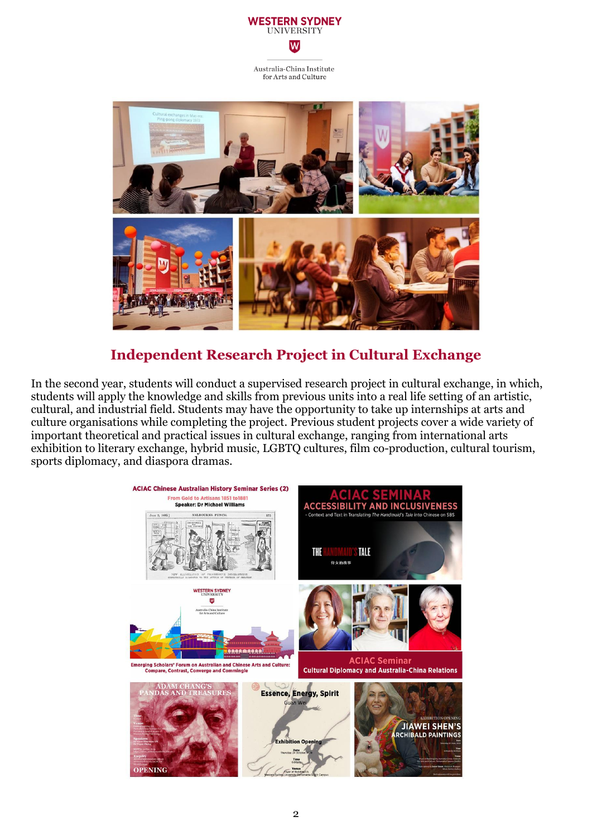

Australia-China Institute for Arts and Culture



### **Independent Research Project in Cultural Exchange**

In the second year, students will conduct a supervised research project in cultural exchange, in which, students will apply the knowledge and skills from previous units into a real life setting of an artistic, cultural, and industrial field. Students may have the opportunity to take up internships at arts and culture organisations while completing the project. Previous student projects cover a wide variety of important theoretical and practical issues in cultural exchange, ranging from international arts exhibition to literary exchange, hybrid music, LGBTQ cultures, film co-production, cultural tourism, sports diplomacy, and diaspora dramas.

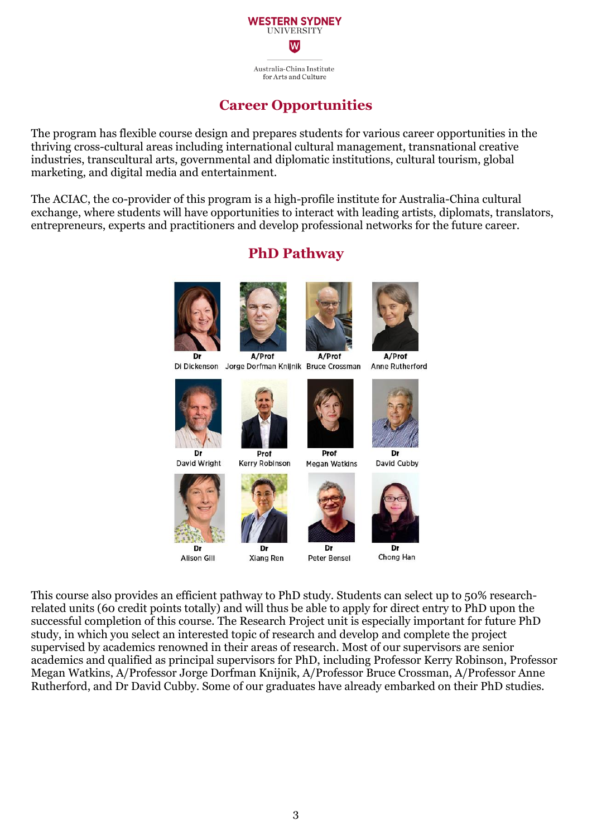

for Arts and Culture

#### **Career Opportunities**

The program has flexible course design and prepares students for various career opportunities in the thriving cross-cultural areas including international cultural management, transnational creative industries, transcultural arts, governmental and diplomatic institutions, cultural tourism, global marketing, and digital media and entertainment.

The ACIAC, the co-provider of this program is a high-profile institute for Australia-China cultural exchange, where students will have opportunities to interact with leading artists, diplomats, translators, entrepreneurs, experts and practitioners and develop professional networks for the future career.



#### **PhD Pathway**

This course also provides an efficient pathway to PhD study. Students can select up to 50% researchrelated units (60 credit points totally) and will thus be able to apply for direct entry to PhD upon the successful completion of this course. The Research Project unit is especially important for future PhD study, in which you select an interested topic of research and develop and complete the project supervised by academics renowned in their areas of research. Most of our supervisors are senior academics and qualified as principal supervisors for PhD, including Professor Kerry Robinson, Professor Megan Watkins, A/Professor Jorge Dorfman Knijnik, A/Professor Bruce Crossman, A/Professor Anne Rutherford, and Dr David Cubby. Some of our graduates have already embarked on their PhD studies.